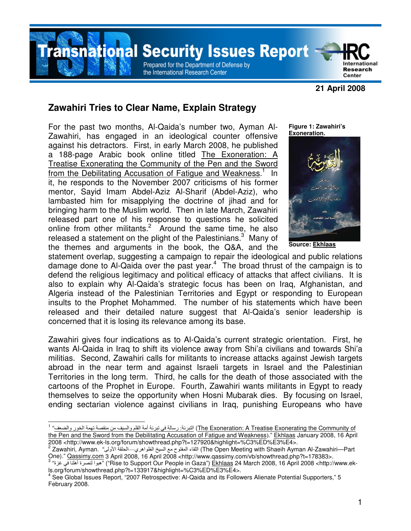**nsnational Security Issues Report** 

Prepared for the Department of Defense by the International Research Center

#### **21 April 2008**

International **Research** 

Center

# **Zawahiri Tries to Clear Name, Explain Strategy**

For the past two months, Al-Qaida's number two, Ayman Al-Zawahiri, has engaged in an ideological counter offensive against his detractors. First, in early March 2008, he published a 188-page Arabic book online titled The Exoneration: A Treatise Exonerating the Community of the Pen and the Sword from the Debilitating Accusation of Fatigue and Weakness.<sup>1</sup> In it, he responds to the November 2007 criticisms of his former mentor, Sayid Imam Abdel-Aziz Al-Sharif (Abdel-Aziz), who lambasted him for misapplying the doctrine of jihad and for bringing harm to the Muslim world. Then in late March, Zawahiri released part one of his response to questions he solicited online from other militants.<sup>2</sup> Around the same time, he also released a statement on the plight of the Palestinians.<sup>3</sup> Many of the themes and arguments in the book, the Q&A, and the **Figure 1: Zawahiri's Exoneration.** 



**Source: Ekhlaas**

statement overlap, suggesting a campaign to repair the ideological and public relations damage done to Al-Qaida over the past year.<sup>4</sup> The broad thrust of the campaign is to defend the religious legitimacy and political efficacy of attacks that affect civilians. It is also to explain why Al-Qaida's strategic focus has been on Iraq, Afghanistan, and Algeria instead of the Palestinian Territories and Egypt or responding to European insults to the Prophet Mohammed. The number of his statements which have been released and their detailed nature suggest that Al-Qaida's senior leadership is concerned that it is losing its relevance among its base.

Zawahiri gives four indications as to Al-Qaida's current strategic orientation. First, he wants Al-Qaida in Iraq to shift its violence away from Shi'a civilians and towards Shi'a militias. Second, Zawahiri calls for militants to increase attacks against Jewish targets abroad in the near term and against Israeli targets in Israel and the Palestinian Territories in the long term. Third, he calls for the death of those associated with the cartoons of the Prophet in Europe. Fourth, Zawahiri wants militants in Egypt to ready themselves to seize the opportunity when Hosni Mubarak dies. By focusing on Israel, ending sectarian violence against civilians in Iraq, punishing Europeans who have

 1 of Community the Exonerating Treatise A :Exoneration The (ا : ر أ ا وا 
 ا ر وا-" the Pen and the Sword from the Debilitating Accusation of Fatigue and Weakness)." Ekhlaas January 2008, 16 April 2008 <http://www.ek-ls.org/forum/showthread.php?t=127920&highlight=%C3%ED%E3%E4>.<br><sup>2</sup> Zawahiri, Ayman. "ولى الحلقة الأولى المنفوح مع السيخ الظواهري—الحلقة الأولى" (The Open Meeting with Shaeih Ayman Al-Zawahiri

One)." <u>Qassimy.com</u> 3 April 2008, 16 April 2008 <http://www.qassimy.com/vb/showthread.php?t=178383>.<br><sup>3</sup> "قورا لنصرة أهلنا في غزة" ("Rise to Support Our People in Gaza") <u>Ekhlaas</u> 24 March 2008, 16 April 2008 <http://www ls.org/forum/showthread.php?t=133917&highlight=%C3%ED%E3%E4>.

<sup>4</sup> See Global Issues Report, "2007 Retrospective: Al-Qaida and its Followers Alienate Potential Supporters," 5 February 2008.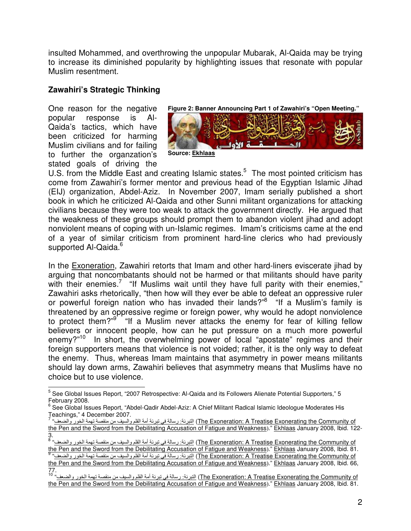insulted Mohammed, and overthrowing the unpopular Mubarak, Al-Qaida may be trying to increase its diminished popularity by highlighting issues that resonate with popular Muslim resentment.

# **Zawahiri's Strategic Thinking**

One reason for the negative popular response is Al-Qaida's tactics, which have been criticized for harming Muslim civilians and for failing to further the organzation's stated goals of driving the



U.S. from the Middle East and creating Islamic states. $5$  The most pointed criticism has come from Zawahiri's former mentor and previous head of the Egyptian Islamic Jihad (EIJ) organization, Abdel-Aziz. In November 2007, Imam serially published a short book in which he criticized Al-Qaida and other Sunni militant organizations for attacking civilians because they were too weak to attack the government directly. He argued that the weakness of these groups should prompt them to abandon violent jihad and adopt nonviolent means of coping with un-Islamic regimes. Imam's criticisms came at the end of a year of similar criticism from prominent hard-line clerics who had previously supported Al-Qaida.<sup>6</sup>

In the Exoneration, Zawahiri retorts that Imam and other hard-liners eviscerate jihad by arguing that noncombatants should not be harmed or that militants should have parity with their enemies.<sup>7</sup> "If Muslims wait until they have full parity with their enemies," Zawahiri asks rhetorically, "then how will they ever be able to defeat an oppressive ruler or powerful foreign nation who has invaded their lands?"<sup>8</sup> "If a Muslim's family is threatened by an oppressive regime or foreign power, why would he adopt nonviolence to protect them?"<sup>9</sup> "If a Muslim never attacks the enemy for fear of killing fellow believers or innocent people, how can he put pressure on a much more powerful enemy?"<sup>10</sup> In short, the overwhelming power of local "apostate" regimes and their foreign supporters means that violence is not voided; rather, it is the only way to defeat the enemy. Thus, whereas Imam maintains that asymmetry in power means militants should lay down arms, Zawahiri believes that asymmetry means that Muslims have no choice but to use violence.

 5 See Global Issues Report, "2007 Retrospective: Al-Qaida and its Followers Alienate Potential Supporters," 5 February 2008.<br><sup>6</sup> See Glebel les

See Global Issues Report, "Abdel-Qadir Abdel-Aziz: A Chief Militant Radical Islamic Ideologue Moderates His Teachings," 4 December 2007. 7

The Exoneration: A Treatise Exonerating the Community of) النبرئة: رسالة في نبرئة أمة القلم والسيف من منقصة تهمة الخور والضعف" the Pen and the Sword from the Debilitating Accusation of Fatigue and Weakness)." Ekhlaas January 2008, Ibid. 122-

<sup>3.&</sup>lt;br><sup>8</sup> "<u>The Exoneration: A Treatise Exonerating the Community of التيرنة: رسالة في تبرنة أمة القلم والسيف من منقصة تهمة الخور والضعف<sup>»</sup></u> the Pen and the Sword from the Debilitating Accusation of Fatigue and Weakness)." Ekhlaas January 2008, Ibid. 81. The Exoneration: A Treatise Exonerating the Community of) النبرئة: رسالة في نبرئة أمة القلم والسيف من منقصة تهمة الخور والضعف" the Pen and the Sword from the Debilitating Accusation of Fatigue and Weakness)." Ekhlaas January 2008, Ibid. 66, 77.

The Exoneration: A Treatise Exonerating the Community of) التبرئة: رسالة في تبرئة أمة القلم والسيف من منقصة تهمة الخور والضعف" <sup>10</sup> the Pen and the Sword from the Debilitating Accusation of Fatigue and Weakness)." Ekhlaas January 2008, Ibid. 81.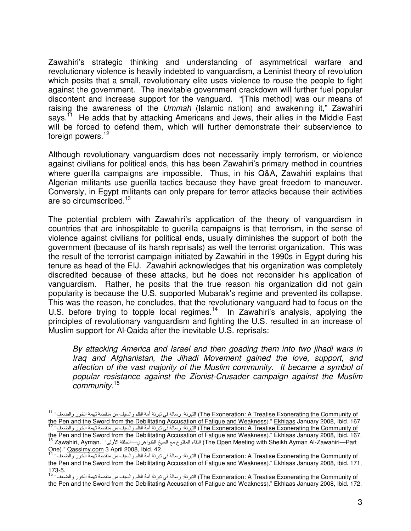Zawahiri's strategic thinking and understanding of asymmetrical warfare and revolutionary violence is heavily indebted to vanguardism, a Leninist theory of revolution which posits that a small, revolutionary elite uses violence to rouse the people to fight against the government. The inevitable government crackdown will further fuel popular discontent and increase support for the vanguard. "[This method] was our means of raising the awareness of the Ummah (Islamic nation) and awakening it," Zawahiri says.<sup>11</sup> He adds that by attacking Americans and Jews, their allies in the Middle East will be forced to defend them, which will further demonstrate their subservience to foreign powers.<sup>12</sup>

Although revolutionary vanguardism does not necessarily imply terrorism, or violence against civilians for political ends, this has been Zawahiri's primary method in countries where guerilla campaigns are impossible. Thus, in his Q&A, Zawahiri explains that Algerian militants use guerilla tactics because they have great freedom to maneuver. Conversly, in Egypt militants can only prepare for terror attacks because their activities are so circumscribed.<sup>13</sup>

The potential problem with Zawahiri's application of the theory of vanguardism in countries that are inhospitable to guerilla campaigns is that terrorism, in the sense of violence against civilians for political ends, usually diminishes the support of both the government (because of its harsh reprisals) as well the terrorist organization. This was the result of the terrorist campaign initiated by Zawahiri in the 1990s in Egypt during his tenure as head of the EIJ. Zawahiri acknowledges that his organization was completely discredited because of these attacks, but he does not reconsider his application of vanguardism. Rather, he posits that the true reason his organization did not gain popularity is because the U.S. supported Mubarak's regime and prevented its collapse. This was the reason, he concludes, that the revolutionary vanguard had to focus on the U.S. before trying to topple local regimes.<sup>14</sup> In Zawahiri's analysis, applying the principles of revolutionary vanguardism and fighting the U.S. resulted in an increase of Muslim support for Al-Qaida after the inevitable U.S. reprisals:

By attacking America and Israel and then goading them into two jihadi wars in Iraq and Afghanistan, the Jihadi Movement gained the love, support, and affection of the vast majority of the Muslim community. It became a symbol of popular resistance against the Zionist-Crusader campaign against the Muslim community.<sup>15</sup>

 The Exoneration: A Treatise Exonerating the Community of) التبرئة: رسالة في تبرئة أمة القلم والسيف من منقصة تهمة الخور والضعف" <sup>11</sup> <u>the Pen and the Sword from the Debilitating Accusation of Fatigue and Weakness</u>)." <u>Ekhlaas</u> January 2008, Ibid. 167.<br><sup>12</sup> التيرنة: رسالة في تبرئة أمة القلم والسيف من منقصة تهمة الخور والضعف<sup>ي 12</sup>

the Pen and the Sword from the Debilitating Accusation of Fatigue and Weakness)." <u>Ekhlaas</u> January 2008, Ibid. 167.<br><sup>13</sup> Zawahiri, Ayman. "القاء المفتوح مع السيخ الظواهري—الحلقة الأولى" (The Open Meeting with Sheikh Ayma One)." Qassimy.com 3 April 2008, Ibid. 42. 14 "-

The Exoneration: A Treatise Exonerating the Community of التبرئة: رسالة في تبرئة أمة القام والسيف من منقصة تهمة الخور والضر the Pen and the Sword from the Debilitating Accusation of Fatigue and Weakness)." Ekhlaas January 2008, Ibid. 171,  $173-5.$ 

The Exoneration: A Treatise Exonerating the Community of) التبرئة: رسالة في تبرئة أمة القلم والسيف من منقصة تهمة الخور والضعف" <sup>15</sup> the Pen and the Sword from the Debilitating Accusation of Fatigue and Weakness)." Ekhlaas January 2008, Ibid. 172.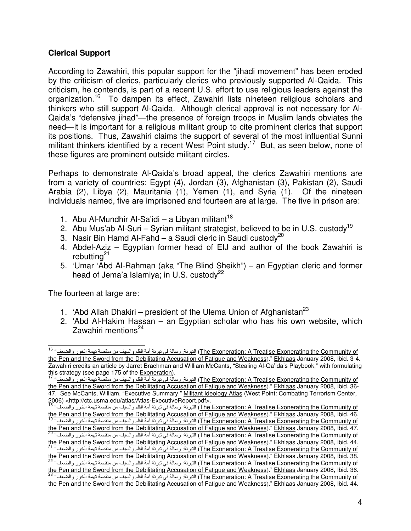## **Clerical Support**

According to Zawahiri, this popular support for the "jihadi movement" has been eroded by the criticism of clerics, particularly clerics who previously supported Al-Qaida. This criticism, he contends, is part of a recent U.S. effort to use religious leaders against the organization.16 To dampen its effect, Zawahiri lists nineteen religious scholars and thinkers who still support Al-Qaida. Although clerical approval is not necessary for Al-Qaida's "defensive jihad"—the presence of foreign troops in Muslim lands obviates the need—it is important for a religious militant group to cite prominent clerics that support its positions. Thus, Zawahiri claims the support of several of the most influential Sunni militant thinkers identified by a recent West Point study.<sup>17</sup> But, as seen below, none of these figures are prominent outside militant circles.

Perhaps to demonstrate Al-Qaida's broad appeal, the clerics Zawahiri mentions are from a variety of countries: Egypt (4), Jordan (3), Afghanistan (3), Pakistan (2), Saudi Arabia (2), Libya (2), Mauritania (1), Yemen (1), and Syria (1). Of the nineteen individuals named, five are imprisoned and fourteen are at large. The five in prison are:

- 1. Abu Al-Mundhir Al-Sa'idi a Libyan militant<sup>18</sup>
- 2. Abu Mus'ab Al-Suri Syrian militant strategist, believed to be in U.S. custody<sup>19</sup>
- 3. Nasir Bin Hamd Al-Fahd a Saudi cleric in Saudi custody<sup>20</sup>
- 4. Abdel-Aziz Egyptian former head of EIJ and author of the book Zawahiri is rebutting $^{21}$
- 5. 'Umar 'Abd Al-Rahman (aka "The Blind Sheikh") an Egyptian cleric and former head of Jema'a Islamiya; in U.S. custody<sup>22</sup>

The fourteen at large are:

- 1. 'Abd Allah Dhakiri president of the Ulema Union of Afghanistan<sup>23</sup>
- 2. 'Abd Al-Hakim Hassan an Egyptian scholar who has his own website, which Zawahiri mentions<sup>24</sup>

The Exoneration: A Treatise Exonerating the Community of) التبرئة: رسالة في تبرئة أمة القلم والسيف من منقصة تهمة الخور والضعف" <sup>16</sup> the Pen and the Sword from the Debilitating Accusation of Fatigue and Weakness)." Ekhlaas January 2008, Ibid. 3-4. Zawahiri credits an article by Jarret Brachman and William McCants, "Stealing Al-Qa'ida's Playbook," with formulating

this strategy (see page 175 of the <u>Exoneration</u>).<br><sup>17</sup> للتيرنة: رسالة في تبرئة أمة القلم والسيف من منقصة تهمة الخور والضعف<sup>، 17</sup> للتي تبرئة أمة القلم والسيف من منقصة تهمة الخور والضعف<sup>، 17</sup> the Pen and the Sword from the Debilitating Accusation of Fatigue and Weakness)." Ekhlaas January 2008, Ibid. 36- 47. See McCants, William. "Executive Summary," Militant Ideology Atlas (West Point: Combating Terrorism Center, 2006) <http://ctc.usma.edu/atlas/Atlas-ExecutiveReport.pdf>.

The Exoneration: A Treatise Exonerating the Community of) للتبرئة: رسالة في تبرئة أمة القلم والسيف من منقصة تهمة الخور والضعف" <sup>18</sup> the Pen and the Sword from the Debilitating Accusation of Fatigue and Weakness)." Ekhlaas January 2008, Ibid. 46. The Exoneration: A Treatise Exonerating the Community of) التبرنة: رسالة في تبرئة أمة القلم والسيف من منقصة تهمة الخور والضد

the Pen and the Sword from the Debilitating Accusation of Fatigue and Weakness)." Ekhlaas January 2008, Ibid. 47. The Exoneration: A Treatise Exonerating the Community of التبرئة: رسالة في تبرئة أمة القلم والسيف من منقصة تهمة الخور والضد

<sup>&</sup>lt;u>the Pen and the Sword from the Debilitating Accusation of Fatigue and Weakness</u>)." <u>Ekhlaas</u> January 2008, Ibid. 44.<br><sup>21</sup> النَّبَرِنَةُ: رِسالَةَ في تَبِرِئَةُ أُمَّةُ القَلْمِ والسَّفِفَ مَن منقَصةَ تَهِمَّ الخَور والضَ

the Pen and the Sword from the Debilitating Accusation of Fatigue and Weakness)." Ekhlaas January 2008, Ibid. 38. The Exoneration: A Treatise Exonerating the Community of التبرئة: رسالة في تبرئة أمة القلم والسيف من منقصة تهمة الخور والضد

the Pen and the Sword from the Debilitating Accusation of Fatigue and Weakness)." Ekhlaas January 2008, Ibid. 36. The Exoneration: A Treatise Exonerating the Community of) التبرئة: رسالة في تبرئة أمة القلم والسيف من منقصة تهمة الخور والضد the Pen and the Sword from the Debilitating Accusation of Fatigue and Weakness)." Ekhlaas January 2008, Ibid. 44.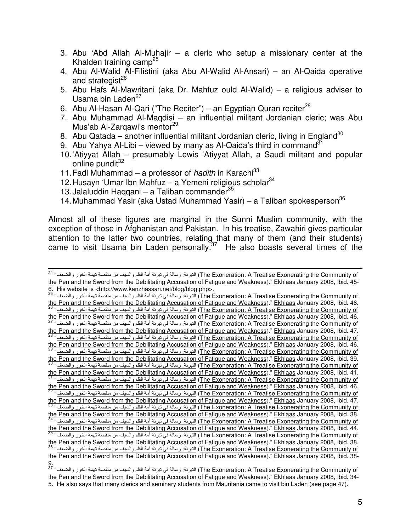- 3. Abu 'Abd Allah Al-Muhajir a cleric who setup a missionary center at the Khalden training camp<sup>25</sup>
- 4. Abu Al-Walid Al-Filistini (aka Abu Al-Walid Al-Ansari) an Al-Qaida operative and strategist $^{26}$
- 5. Abu Hafs Al-Mawritani (aka Dr. Mahfuz ould Al-Walid) a religious adviser to Usama bin Laden<sup>27</sup>
- 6. Abu Al-Hasan Al-Qari ("The Reciter") an Egyptian Quran reciter<sup>28</sup>
- 7. Abu Muhammad Al-Maqdisi an influential militant Jordanian cleric; was Abu Mus'ab Al-Zarqawi's mentor<sup>29</sup>
- 8. Abu Qatada another influential militant Jordanian cleric, living in England<sup>30</sup>
- 9. Abu Yahya Al-Libi viewed by many as Al-Qaida's third in command<sup>31</sup>
- 10. 'Atiyyat Allah presumably Lewis 'Atiyyat Allah, a Saudi militant and popular online pundit<sup>32</sup>
- 11. Fadl Muhammad a professor of hadith in Karachi<sup>33</sup>
- 12. Husayn 'Umar Ibn Mahfuz a Yemeni religious scholar<sup>34</sup>
- 13. Jalaluddin Haqqani a Taliban commander $^{35}$
- 14. Muhammad Yasir (aka Ustad Muhammad Yasir) a Taliban spokesperson<sup>36</sup>

Almost all of these figures are marginal in the Sunni Muslim community, with the exception of those in Afghanistan and Pakistan. In his treatise, Zawahiri gives particular attention to the latter two countries, relating that many of them (and their students) came to visit Usama bin Laden personally.<sup>37</sup> He also boasts several times of the

<sup>.&</sup>lt;br>The Exoneration: A Treatise Exonerating the Community of التبرئة: رسالة في تبرئة أمة القلم والسيف من منقصة تهمة الخور والضعف<sup>، 24</sup> the Pen and the Sword from the Debilitating Accusation of Fatigue and Weakness)." Ekhlaas January 2008, Ibid. 45- 6. His website is <http://www.kanzhassan.net/blog/blog.php>.

The Exoneration: A Treatise Exonerating the Community of) للتبرئة: رسالة في تبرئة أمة القلم والسيف من منقصة تهمة الخور والضعف" <sup>25</sup> the Pen and the Sword from the Debilitating Accusation of Fatigue and Weakness)." Ekhlaas January 2008, Ibid. 46. The Exoneration: A Treatise Exonerating the Community of) التبرئة: رسالة في تبرئة أمة القلم والسيف من منقصة تهمة الخور والضد the Pen and the Sword from the Debilitating Accusation of Fatigue and Weakness)." Ekhlaas January 2008, Ibid. 46. 27 "-The Exoneration: A Treatise Exonerating the Community of التبرئة: رسالة في تبرئة أمة القلم والسيف من منقصة تهمة الخور والضد the Pen and the Sword from the Debilitating Accusation of Fatigue and Weakness)." Ekhlaas January 2008, Ibid. 47. The Exoneration: A Treatise Exonerating the Community of) التبرئة: رسالة في تبرئة أمة القلم والسيف من منقصة تهمة الخور والضد the Pen and the Sword from the Debilitating Accusation of Fatigue and Weakness)." Ekhlaas January 2008, Ibid. 46. The Exoneration: A Treatise Exonerating the Community of) التبرئة: رسالة في تبرئة أمة القلم والسيف من منقصة تهمة الخور والضد <u>the Pen and the Sword from the Debilitating Accusation of Fatigue and Weakness</u>)." <u>Ekhlaas</u> January 2008, Ibid. 39.<br><sup>30</sup> "النَّبَرِنَةَ: رسالةَ في نَبَرِنَةَ أمة القلم والسيف من منقصة تهمة الخور والضعف<sup>ة 30</sup> "(The Exone the Pen and the Sword from the Debilitating Accusation of Fatigue and Weakness)." <u>Ekhlaas</u> January 2008, Ibid. 41.<br><sup>31 ا</sup>لنَّبَرِنَةَ: رِسالَةَ في تَبِرِئَةَ أمة القلم والسيف من منقصة تهمة الخور والضعف<sup>ة 31</sup> المَّبَرَّة <u>the Pen and the Sword from the Debilitating Accusation of Fatigue and Weakness</u>)." <u>Ekhlaas</u> January 2008, Ibid. 46.<br><sup>32</sup> النَّبَرِنَةُ: رسالَةَ في نَبَرِنَةُ أمة القلم والسيف من منقصة تهمة الخور والضعف<sup>»</sup>. [The Exonerat the Pen and the Sword from the Debilitating Accusation of Fatigue and Weakness)." Ekhlaas January 2008, Ibid. 47. The Exoneration: A Treatise Exonerating the Community of) التبرئة: رسالة في تبرئة أمة القلم والسيف من منقصة تهمة الخور والضد the Pen and the Sword from the Debilitating Accusation of Fatigue and Weakness)." Ekhlaas January 2008, Ibid. 38. The Exoneration: A Treatise Exonerating the Community of التبرئة: رسالة في تبرئة أمة القلم والسيف من منقصة تهمة الخور والضد the Pen and the Sword from the Debilitating Accusation of Fatigue and Weakness)." Ekhlaas January 2008, Ibid. 44. The Exoneration: A Treatise Exonerating the Community of) التبرئة: رسالة في تبرئة أمة القلم والسيف من منقصة تهمة الخور والضد the Pen and the Sword from the Debilitating Accusation of Fatigue and Weakness)." Ekhlaas January 2008, Ibid. 38. The Exoneration: A Treatise Exonerating the Community of) التبرنة: رسالة في تبرئة أمة القلم والسيف من منقصة تهمة الخور والضد the Pen and the Sword from the Debilitating Accusation of Fatigue and Weakness)." Ekhlaas January 2008, Ibid. 38- 9.

The Exoneration: A Treatise Exonerating the Community of) التبرئة: رسالة في تبرئة أمة القلم والسيف من منقصة تهمة الخور والضعف" <sup>37</sup> the Pen and the Sword from the Debilitating Accusation of Fatigue and Weakness)." Ekhlaas January 2008, Ibid. 34- 5. He also says that many clerics and seminary students from Mauritania came to visit bin Laden (see page 47).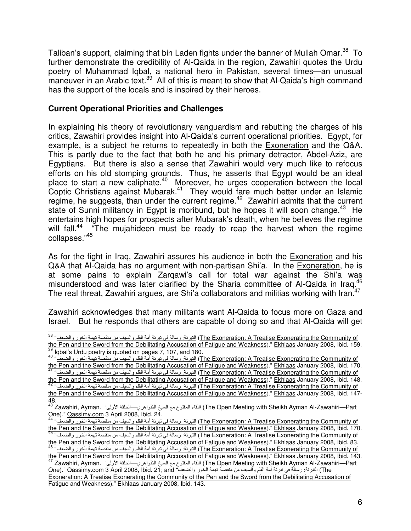Taliban's support, claiming that bin Laden fights under the banner of Mullah Omar.<sup>38</sup> To further demonstrate the credibility of Al-Qaida in the region, Zawahiri quotes the Urdu poetry of Muhammad Iqbal, a national hero in Pakistan, several times—an unusual maneuver in an Arabic text.<sup>39</sup> All of this is meant to show that Al-Qaida's high command has the support of the locals and is inspired by their heroes.

## **Current Operational Priorities and Challenges**

 $\overline{a}$ 

In explaining his theory of revolutionary vanguardism and rebutting the charges of his critics, Zawahiri provides insight into Al-Qaida's current operational priorities. Egypt, for example, is a subject he returns to repeatedly in both the Exoneration and the Q&A. This is partly due to the fact that both he and his primary detractor, Abdel-Aziz, are Egyptians. But there is also a sense that Zawahiri would very much like to refocus efforts on his old stomping grounds. Thus, he asserts that Egypt would be an ideal place to start a new caliphate.<sup>40</sup> Moreover, he urges cooperation between the local Coptic Christians against Mubarak.<sup>41</sup> They would fare much better under an Islamic regime, he suggests, than under the current regime.<sup>42</sup> Zawahiri admits that the current state of Sunni militancy in Egypt is moribund, but he hopes it will soon change.<sup>43</sup> He entertains high hopes for prospects after Mubarak's death, when he believes the regime will fall.<sup>44</sup> "The mujahideen must be ready to reap the harvest when the regime collapses."45

As for the fight in Iraq, Zawahiri assures his audience in both the Exoneration and his Q&A that Al-Qaida has no argument with non-partisan Shi'a. In the Exoneration, he is at some pains to explain Zarqawi's call for total war against the Shi'a was misunderstood and was later clarified by the Sharia committee of Al-Qaida in Iraq.<sup>46</sup> The real threat, Zawahiri argues, are Shi'a collaborators and militias working with Iran.<sup>47</sup>

Zawahiri acknowledges that many militants want Al-Qaida to focus more on Gaza and Israel. But he responds that others are capable of doing so and that Al-Qaida will get

The Exoneration: A Treatise Exonerating the Community of) التبرئة: رسالة في تبرئة أمة القلم والسيف من منقصة تهمة الخور والضعف" <sup>38</sup> the Pen and the Sword from the Debilitating Accusation of Fatigue and Weakness)." Ekhlaas January 2008, Ibid. 159.<br><sup>39</sup> Igbal's Urdu poetry is quoted on pages 7, 107, and 180.

The Exoneration: A Treatise Exonerating the Community of) التبرئة: رسلة في تبرئة أمة القلم والسيف من منقصة تهمة الخور والضد <u>the Pen and the Sword from the Debilitating Accusation of Fatigue and Weakness</u>)." <u>Ekhlaas</u> January 2008, Ibid. 170.<br><sup>41</sup> التيرنة: رسالة في تبرئة أمة القلم والسيف من منقصة تهمة الخور والضعف<sup>ي 41</sup>

the Pen and the Sword from the Debilitating Accusation of Fatigue and Weakness)." Ekhlaas January 2008, Ibid. 148.

The Exoneration: A Treatise Exonerating the Community of) التبرئة: رسالة في تبرئة أمة القلم والسيف من منقصة تهمة الخور والضد the Pen and the Sword from the Debilitating Accusation of Fatigue and Weakness)." Ekhlaas January 2008, Ibid. 147-48.

 $^{43}$  Zawahiri, Ayman. "القاء المفتوح مع السيخ الظواهري—الحلقة الأولى" (The Open Meeting with Sheikh Ayman Al-Zawahiri—Part

One)." <u>Qassimy.com</u> 3 April 2008, Ibid. 24.<br><sup>44</sup> النيرنة: رسالة في تبرئة أمة القلم والسيف من منقصة تهمة الخور والضعف<sup>» 44</sup> للبونغيا (The Exoneration: A Treatise Exonerating the Community of the Pen and the Sword from the Debilitating Accusation of Fatigue and Weakness)." Ekhlaas January 2008, Ibid. 170.

The Exoneration: A Treatise Exonerating the Community of) التبرئة: رسالة في تبرئة أمة القلم والسيف من منقصة تهمة الخور والضد the Pen and the Sword from the Debilitating Accusation of Fatigue and Weakness)." Ekhlaas January 2008, Ibid. 83. The Exoneration: A Treatise Exonerating the Community of) التبرئة: رسالة في تبرئة أمة القلم والسيف من منقصة تهمة الخور والضد

the Pen and the Sword from the Debilitating Accusation of Fatigue and Weakness)." Ekhlaas January 2008, Ibid. 143. ,اللقاء المفتوح مع السيخ الظواهري—الحلقة الأولى", Zawahiri, Ayman Al-Zawahiri—Part ) الملقاء المفتوح مع السيخ الظواهري—الحلقة الأولى" One)." <u>Qassimy.com</u> 3 April 2008, Ibid. 21; and في تبرئة أمة القلم والسيف من منقصة تهمة الخور والضعف "One)." Qassimy.com 3 April 2008, Ibid. 21; and

Exoneration: A Treatise Exonerating the Community of the Pen and the Sword from the Debilitating Accusation of Fatigue and Weakness)." Ekhlaas January 2008, Ibid. 143.